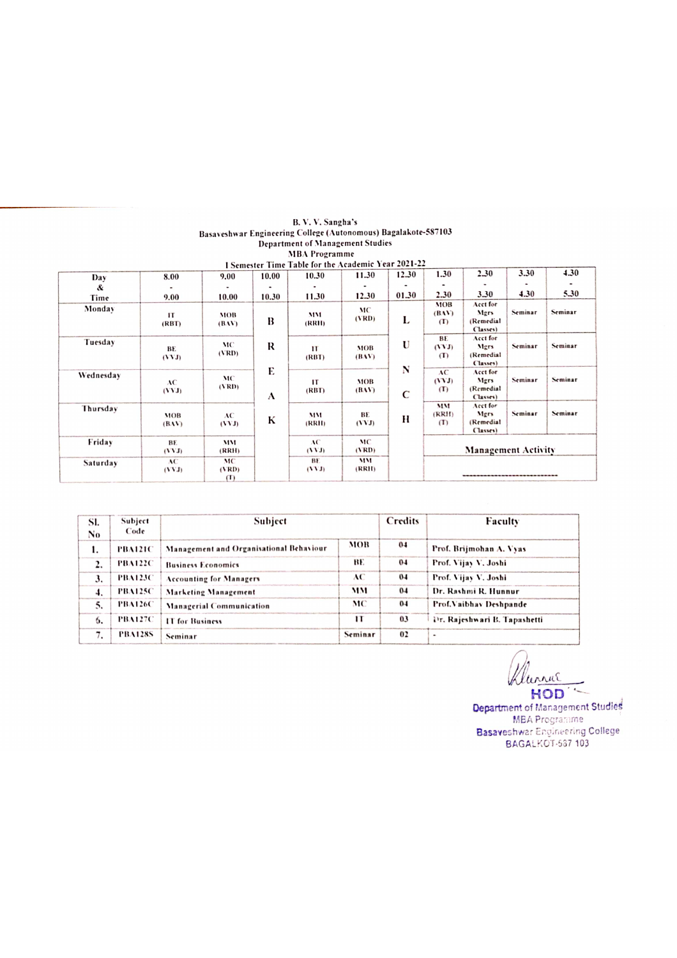| I Semester Time Table for the Academic Year 2021-22 |              |          |       |        |            |              |              |                            |         |         |
|-----------------------------------------------------|--------------|----------|-------|--------|------------|--------------|--------------|----------------------------|---------|---------|
| Day                                                 | 8.00         | 9.00     | 10.00 | 10.30  | 11.30      | 12.30        | 1.30         | 2.30                       | 3.30    | 4.30    |
| &                                                   |              |          |       |        |            |              |              |                            |         |         |
| Time                                                | 9.00         | 10.00    | 10.30 | 11.30  | 12.30      | 01.30        | 2.30         | 3.30                       | 4.30    | 5.30    |
| Monday                                              |              |          |       |        | MC         |              | MOB<br>(BAY) | Acct for<br>Mgrs           | Seminar | Seminar |
|                                                     | $\mathbf{H}$ | MOB      | B     | MM     | (VRD)      | L            | $\sigma$     | (Remedial                  |         |         |
|                                                     | (RBT)        | (BAV)    |       | (RRH)  |            |              |              | Classes)                   |         |         |
| Tuesday                                             |              |          |       |        |            |              | BE           | Acct for                   |         |         |
|                                                     | BE           | MC       | R     | IT     | <b>MOB</b> | U            | (VVJ)        | Mgrs                       | Seminar | Seminar |
|                                                     | (VVJ)        | (VRD)    |       | (RBT)  | (BAV)      |              | (T)          | (Remedial                  |         |         |
|                                                     |              |          |       |        |            | N            |              | Classes)                   |         |         |
| Wednesday                                           |              | MC       | E     |        |            |              | AC           | Acct for                   |         |         |
|                                                     | AC           | (VRD)    |       | IТ     | <b>MOB</b> |              | (YYJ)        | Mgrs                       | Seminar | Seminar |
|                                                     | (VVI)        |          | A     | (RBT)  | (BAV)      | $\mathsf{C}$ | (1)          | (Remedial                  |         |         |
|                                                     |              |          |       |        |            |              |              | Classes)                   |         |         |
| Thursday                                            |              |          |       |        |            |              | MM           | Acct for<br>Mers           | Seminar | Seminar |
|                                                     | MOB          | AC       | K     | MM     | BE         | H            | (RRII)       | (Remedial                  |         |         |
|                                                     | (BAV)        | (VVJ)    |       | (RRII) | (VVJ)      |              | (1)          | Classes)                   |         |         |
|                                                     |              |          |       |        |            |              |              |                            |         |         |
| Friday                                              | BE           | MM       |       | AC     | MC         |              |              |                            |         |         |
|                                                     | (TVT)        | (RRH)    |       | (11)   | (VRD)      |              |              | <b>Management Activity</b> |         |         |
| Saturday                                            | AC           | MC       |       | BE.    | MM         |              |              |                            |         |         |
|                                                     | (VVI)        | (VRD)    |       | (111)  | (RRI)      |              |              |                            |         |         |
|                                                     |              | $\sigma$ |       |        |            |              |              |                            |         |         |

| SI.<br>No.         | Subject<br>Code | Subject                                 | Credits | Faculty |                              |  |
|--------------------|-----------------|-----------------------------------------|---------|---------|------------------------------|--|
| 1.                 | <b>PBA121C</b>  | Management and Organisational Behaviour | MOB     | 0.4     | Prof. Brijmohan A. Vyas      |  |
| 2.                 | <b>PBA122C</b>  | <b>Business Economics</b>               | BE.     | $0-4$   | Prof. Vijay V. Joshi         |  |
| 3.                 | <b>PBA123C</b>  | <b>Accounting for Managers</b>          | АC      | 04      | Prof. Vijay-V. Joshi         |  |
| $\boldsymbol{4}$ . | <b>PBA125C</b>  | <b>Marketing Management</b>             | MM      | $0-4$   | Dr. Rashmi R. Hunnur         |  |
| 5.                 | <b>PBA126C</b>  | <b>Managerial Communication</b>         | MC      | $0-4$   | Prof. Vaibhay Deshpande      |  |
| 6.                 | <b>PBA127C</b>  | IT for Business                         | п       | 03      | Dr. Rajeshwari B. Tapashetti |  |
|                    | <b>PBA128S</b>  | Seminar                                 | Seminar | 02      | ۰                            |  |

Klurnut HOD

Department of Management Studies MEA Prograrame Basaveshwar Engineering College BAGALKOT-587 103